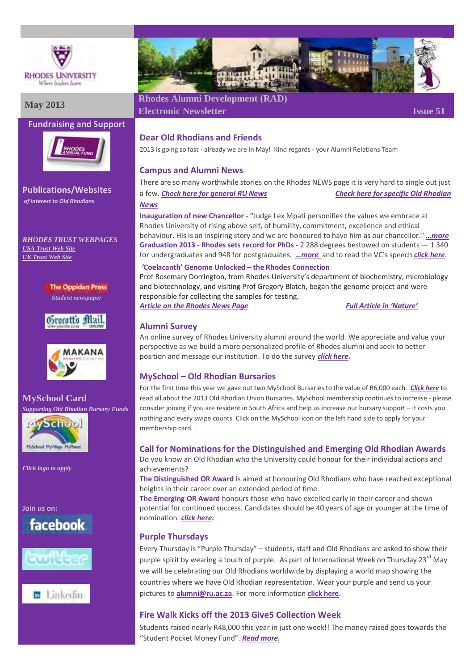

# **Fundraising and Support**



**Publications/Websites** *of interest to Old Rhodians*

*RHODES TRUST WEBPAGES [USA Trust Web Site](http://www.rhodesalumni.com/) [UK Trust Web Site](http://www.rhodesalumni.co.uk/)*

> **The Oppidan Press S***tudent newspaper*





**MySchool Card** *Supporting Old Rhodian Bursary Funds*



*Click logo to apply*

**Join us on:**









# **May 2013 Rhodes Alumni Development (RAD)**

**Electronic Newsletter Issue 51** 

## **Dear Old Rhodians and Friends**

2013 is going so fast - already we are in May! Kind regards - your Alumni Relations Team

## **Campus and Alumni News**

There are so many worthwhile stories on the Rhodes NEWS page it is very hard to single out just a few. *[Check here for general](http://www.ru.ac.za/latestnews/) RU News [Check here for specific Old Rhodian](http://www.ru.ac.za/alumni/alumniinthenews/)  [News](http://www.ru.ac.za/alumni/alumniinthenews/)*

**Inauguration of new Chancellor** - "Judge Lex Mpati personifies the values we embrace at Rhodes University of rising above self, of humility, commitment, excellence and ethical behaviour. His is an inspiring story and we are honoured to have him as our chancellor." *[…more](http://www.ru.ac.za/latestnews/name,80887,en.html)* **Graduation 2013 - Rhodes sets record for PhDs** - 2 288 degrees bestowed on students — 1 340 for undergraduates and 948 for postgraduates. *[…more](http://www.ru.ac.za/latestnews/name,80741,en.html)* and to read the VC's speech *[click here](http://www.ru.ac.za/vice-chancellor/speechespresentations/name,80861,en.html)*.

#### *'***Coelacanth' Genome Unlocked – the Rhodes Connection**

Prof Rosemary Dorrington, from Rhodes University's department of biochemistry, microbiology and biotechnology, and visiting Prof Gregory Blatch, began the genome project and were responsible for collecting the samples for testing.

*Article on [the Rhodes News Page](http://www.ru.ac.za/latestnews/name,81472,en.html) [Full Article in 'Nature'](http://www.nature.com/nature/journal/v496/n7445/full/nature12027.html)*

## **Alumni Survey**

An online survey of Rhodes University alumni around the world. We appreciate and value your perspective as we build a more personalized profile of Rhodes alumni and seek to better position and message our institution. To do the survey *[click here](http://globalfluency.us2.qualtrics.com/SE/?SID=SV_23ixkmNIsT3xSZL)*.

# **MySchool – Old Rhodian Bursaries**

For the first time this year we gave out two MySchool Bursaries to the value of R6,000 each. *[Click here](http://www.ru.ac.za/alumni/oldrhodianunion/orubursaryawards/2013winners/)* to read all about the 2013 Old Rhodian Union Bursaries. MySchool membership continues to increase - please consider joining if you are resident in South Africa and help us increase our bursary support – it costs you nothing and every swipe counts. Click on the MySchool icon on the left hand side to apply for your membership card. .

# **Call for Nominations for the Distinguished and Emerging Old Rhodian Awards**

Do you know an Old Rhodian who the University could honour for their individual actions and achievements?

**The Distinguished OR Award** is aimed at honouring Old Rhodians who have reached exceptional heights in their career over an extended period of time.

**The Emerging OR Award** honours those who have excelled early in their career and shown potential for continued success. Candidates should be 40 years of age or younger at the time of nomination. *[click here.](http://www.ru.ac.za/alumni/oldrhodianunion/oldrhodianawards/)*

# **Purple Thursdays**

Every Thursday is "Purple Thursday" – students, staff and Old Rhodians are asked to show their purple spirit by wearing a touch of purple. As part of International Week on Thursday 23<sup>rd</sup> May we will be celebrating our Old Rhodians worldwide by displaying a world map showing the countries where we have Old Rhodian representation. Wear your purple and send us your pictures to **[alumni@ru.ac.za](mailto:alumni@ru.ac.za)**. For more information **[click here](http://www.ru.ac.za/alumni/purplethursday/)**.

# **Fire Walk Kicks off the 2013 Give5 Collection Week**

Students raised nearly R48,000 this year in just one week!! The money raised goes towards the "Student Pocket Money Fund". *[Read more.](http://www.ru.ac.za/alumni/alumnigiving/give5/give52013/)*